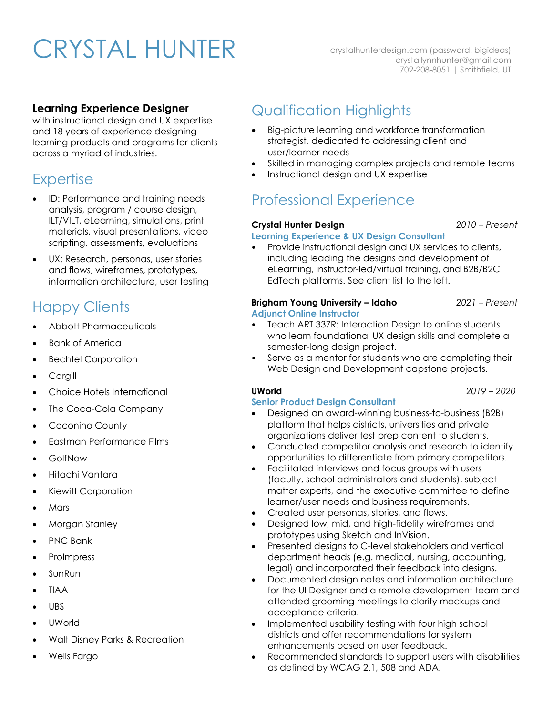# CRYSTAL HUNTER

crystalhunterdesign.com (password: bigideas) crystallynnhunter@gmail.com 702-208-8051 | Smithfield, UT

## **Learning Experience Designer**

with instructional design and UX expertise and 18 years of experience designing learning products and programs for clients across a myriad of industries.

## **Expertise**

- ID: Performance and training needs analysis, program / course design, ILT/VILT, eLearning, simulations, print materials, visual presentations, video scripting, assessments, evaluations
- UX: Research, personas, user stories and flows, wireframes, prototypes, information architecture, user testing

# Happy Clients

- Abbott Pharmaceuticals
- **Bank of America**
- Bechtel Corporation
- Cargill
- Choice Hotels International
- The Coca-Cola Company
- Coconino County
- Eastman Performance Films
- GolfNow
- Hitachi Vantara
- Kiewitt Corporation
- Mars
- Morgan Stanley
- PNC Bank
- ProImpress
- SunRun
- TIAA
- UBS
- UWorld
- Walt Disney Parks & Recreation
- Wells Fargo

# Qualification Highlights

- Big-picture learning and workforce transformation strategist, dedicated to addressing client and user/learner needs
- Skilled in managing complex projects and remote teams
- Instructional design and UX expertise

# Professional Experience

### **Crystal Hunter Design** *2010 – Present*

### **Learning Experience & UX Design Consultant**

• Provide instructional design and UX services to clients, including leading the designs and development of eLearning, instructor-led/virtual training, and B2B/B2C EdTech platforms. See client list to the left.

#### **Brigham Young University – Idaho** *2021 – Present* **Adjunct Online Instructor**

- Teach ART 337R: Interaction Design to online students who learn foundational UX design skills and complete a semester-long design project.
- Serve as a mentor for students who are completing their Web Design and Development capstone projects.

## **UWorld** *2019 – 2020*

## **Senior Product Design Consultant**

• Designed an award-winning business-to-business (B2B) platform that helps districts, universities and private organizations deliver test prep content to students.

- Conducted competitor analysis and research to identify opportunities to differentiate from primary competitors.
- Facilitated interviews and focus groups with users (faculty, school administrators and students), subject matter experts, and the executive committee to define learner/user needs and business requirements.
- Created user personas, stories, and flows.
- Designed low, mid, and high-fidelity wireframes and prototypes using Sketch and InVision.
- Presented designs to C-level stakeholders and vertical department heads (e.g. medical, nursing, accounting, legal) and incorporated their feedback into designs.
- Documented design notes and information architecture for the UI Designer and a remote development team and attended grooming meetings to clarify mockups and acceptance criteria.
- Implemented usability testing with four high school districts and offer recommendations for system enhancements based on user feedback.
- Recommended standards to support users with disabilities as defined by WCAG 2.1, 508 and ADA.